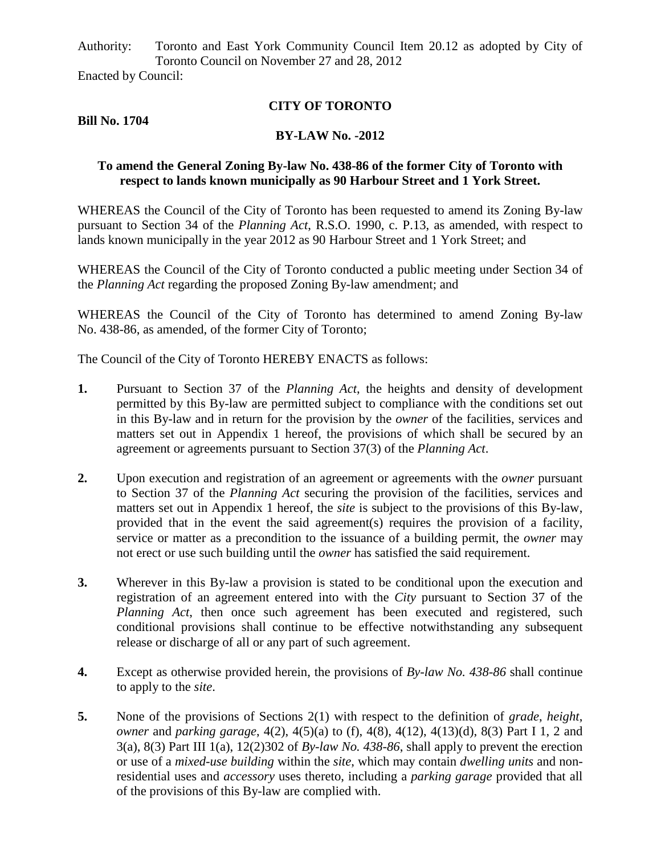Authority: Toronto and East York Community Council Item 20.12 as adopted by City of Toronto Council on November 27 and 28, 2012 Enacted by Council:

## **CITY OF TORONTO**

**Bill No. 1704**

## **BY-LAW No. -2012**

## **To amend the General Zoning By-law No. 438-86 of the former City of Toronto with respect to lands known municipally as 90 Harbour Street and 1 York Street.**

WHEREAS the Council of the City of Toronto has been requested to amend its Zoning By-law pursuant to Section 34 of the *Planning Act*, R.S.O. 1990, c. P.13, as amended, with respect to lands known municipally in the year 2012 as 90 Harbour Street and 1 York Street; and

WHEREAS the Council of the City of Toronto conducted a public meeting under Section 34 of the *Planning Act* regarding the proposed Zoning By-law amendment; and

WHEREAS the Council of the City of Toronto has determined to amend Zoning By-law No. 438-86, as amended, of the former City of Toronto;

The Council of the City of Toronto HEREBY ENACTS as follows:

- **1.** Pursuant to Section 37 of the *Planning Act*, the heights and density of development permitted by this By-law are permitted subject to compliance with the conditions set out in this By-law and in return for the provision by the *owner* of the facilities, services and matters set out in Appendix 1 hereof, the provisions of which shall be secured by an agreement or agreements pursuant to Section 37(3) of the *Planning Act*.
- **2.** Upon execution and registration of an agreement or agreements with the *owner* pursuant to Section 37 of the *Planning Act* securing the provision of the facilities, services and matters set out in Appendix 1 hereof, the *site* is subject to the provisions of this By-law, provided that in the event the said agreement(s) requires the provision of a facility, service or matter as a precondition to the issuance of a building permit, the *owner* may not erect or use such building until the *owner* has satisfied the said requirement.
- **3.** Wherever in this By-law a provision is stated to be conditional upon the execution and registration of an agreement entered into with the *City* pursuant to Section 37 of the *Planning Act*, then once such agreement has been executed and registered, such conditional provisions shall continue to be effective notwithstanding any subsequent release or discharge of all or any part of such agreement.
- **4.** Except as otherwise provided herein, the provisions of *By-law No. 438-86* shall continue to apply to the *site*.
- **5.** None of the provisions of Sections 2(1) with respect to the definition of *grade*, *height*, *owner* and *parking garage*, 4(2), 4(5)(a) to (f), 4(8), 4(12), 4(13)(d), 8(3) Part I 1, 2 and 3(a), 8(3) Part III 1(a), 12(2)302 of *By-law No. 438-86*, shall apply to prevent the erection or use of a *mixed-use building* within the *site*, which may contain *dwelling units* and nonresidential uses and *accessory* uses thereto, including a *parking garage* provided that all of the provisions of this By-law are complied with.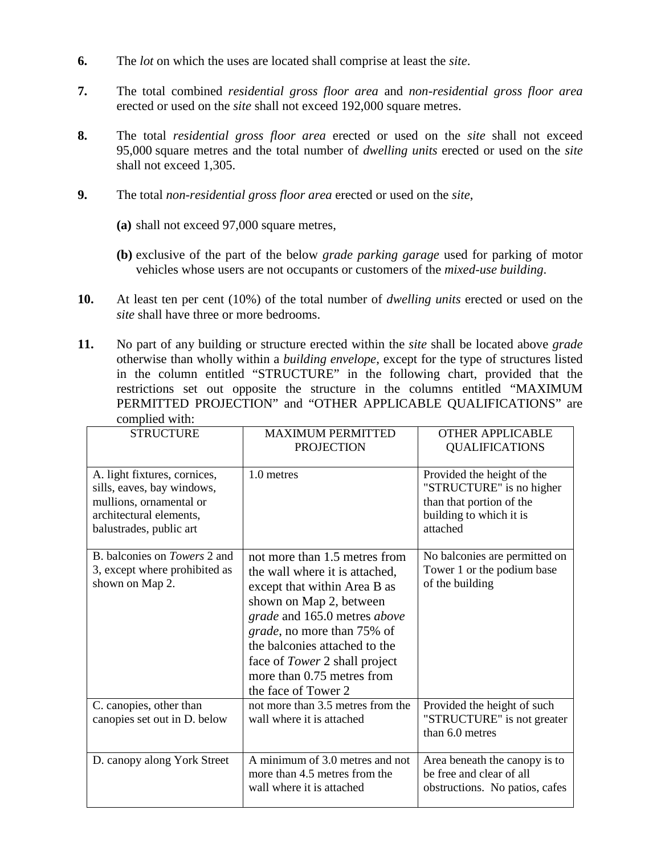- **6.** The *lot* on which the uses are located shall comprise at least the *site*.
- **7.** The total combined *residential gross floor area* and *non-residential gross floor area* erected or used on the *site* shall not exceed 192,000 square metres.
- **8.** The total *residential gross floor area* erected or used on the *site* shall not exceed 95,000 square metres and the total number of *dwelling units* erected or used on the *site* shall not exceed 1,305.
- **9.** The total *non-residential gross floor area* erected or used on the *site*,
	- **(a)** shall not exceed 97,000 square metres,
	- **(b)** exclusive of the part of the below *grade parking garage* used for parking of motor vehicles whose users are not occupants or customers of the *mixed-use building*.
- **10.** At least ten per cent (10%) of the total number of *dwelling units* erected or used on the *site* shall have three or more bedrooms.
- **11.** No part of any building or structure erected within the *site* shall be located above *grade* otherwise than wholly within a *building envelope*, except for the type of structures listed in the column entitled "STRUCTURE" in the following chart, provided that the restrictions set out opposite the structure in the columns entitled "MAXIMUM PERMITTED PROJECTION" and "OTHER APPLICABLE QUALIFICATIONS" are complied with:

| $\ldots$                                                                                                                                    |                                                                                                                                                                                                                                                                                                                         |                                                                                                                           |
|---------------------------------------------------------------------------------------------------------------------------------------------|-------------------------------------------------------------------------------------------------------------------------------------------------------------------------------------------------------------------------------------------------------------------------------------------------------------------------|---------------------------------------------------------------------------------------------------------------------------|
| <b>STRUCTURE</b>                                                                                                                            | <b>MAXIMUM PERMITTED</b><br><b>PROJECTION</b>                                                                                                                                                                                                                                                                           | <b>OTHER APPLICABLE</b><br><b>QUALIFICATIONS</b>                                                                          |
| A. light fixtures, cornices,<br>sills, eaves, bay windows,<br>mullions, ornamental or<br>architectural elements,<br>balustrades, public art | 1.0 metres                                                                                                                                                                                                                                                                                                              | Provided the height of the<br>"STRUCTURE" is no higher<br>than that portion of the<br>building to which it is<br>attached |
| B. balconies on <i>Towers</i> 2 and<br>3, except where prohibited as<br>shown on Map 2.                                                     | not more than 1.5 metres from<br>the wall where it is attached,<br>except that within Area B as<br>shown on Map 2, between<br>grade and 165.0 metres above<br><i>grade</i> , no more than 75% of<br>the balconies attached to the<br>face of Tower 2 shall project<br>more than 0.75 metres from<br>the face of Tower 2 | No balconies are permitted on<br>Tower 1 or the podium base<br>of the building                                            |
| C. canopies, other than<br>canopies set out in D. below                                                                                     | not more than 3.5 metres from the<br>wall where it is attached                                                                                                                                                                                                                                                          | Provided the height of such<br>"STRUCTURE" is not greater<br>than 6.0 metres                                              |
| D. canopy along York Street                                                                                                                 | A minimum of 3.0 metres and not<br>more than 4.5 metres from the<br>wall where it is attached                                                                                                                                                                                                                           | Area beneath the canopy is to<br>be free and clear of all<br>obstructions. No patios, cafes                               |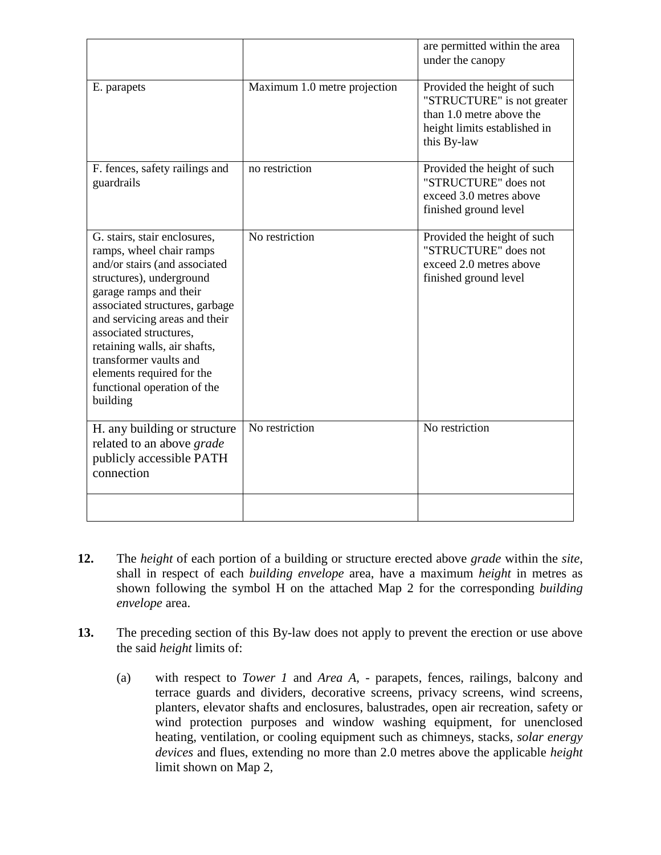|                                                                                                                                                                                                                                                                                                                                                                                |                              | are permitted within the area<br>under the canopy                                                                                    |
|--------------------------------------------------------------------------------------------------------------------------------------------------------------------------------------------------------------------------------------------------------------------------------------------------------------------------------------------------------------------------------|------------------------------|--------------------------------------------------------------------------------------------------------------------------------------|
| E. parapets                                                                                                                                                                                                                                                                                                                                                                    | Maximum 1.0 metre projection | Provided the height of such<br>"STRUCTURE" is not greater<br>than 1.0 metre above the<br>height limits established in<br>this By-law |
| F. fences, safety railings and<br>guardrails                                                                                                                                                                                                                                                                                                                                   | no restriction               | Provided the height of such<br>"STRUCTURE" does not<br>exceed 3.0 metres above<br>finished ground level                              |
| G. stairs, stair enclosures,<br>ramps, wheel chair ramps<br>and/or stairs (and associated<br>structures), underground<br>garage ramps and their<br>associated structures, garbage<br>and servicing areas and their<br>associated structures,<br>retaining walls, air shafts,<br>transformer vaults and<br>elements required for the<br>functional operation of the<br>building | No restriction               | Provided the height of such<br>"STRUCTURE" does not<br>exceed 2.0 metres above<br>finished ground level                              |
| H. any building or structure<br>related to an above grade<br>publicly accessible PATH<br>connection                                                                                                                                                                                                                                                                            | No restriction               | No restriction                                                                                                                       |
|                                                                                                                                                                                                                                                                                                                                                                                |                              |                                                                                                                                      |

- **12.** The *height* of each portion of a building or structure erected above *grade* within the *site*, shall in respect of each *building envelope* area, have a maximum *height* in metres as shown following the symbol H on the attached Map 2 for the corresponding *building envelope* area.
- **13.** The preceding section of this By-law does not apply to prevent the erection or use above the said *height* limits of:
	- (a) with respect to *Tower 1* and *Area A*, parapets, fences, railings, balcony and terrace guards and dividers, decorative screens, privacy screens, wind screens, planters, elevator shafts and enclosures, balustrades, open air recreation, safety or wind protection purposes and window washing equipment, for unenclosed heating, ventilation, or cooling equipment such as chimneys, stacks, *solar energy devices* and flues, extending no more than 2.0 metres above the applicable *height*  limit shown on Map 2,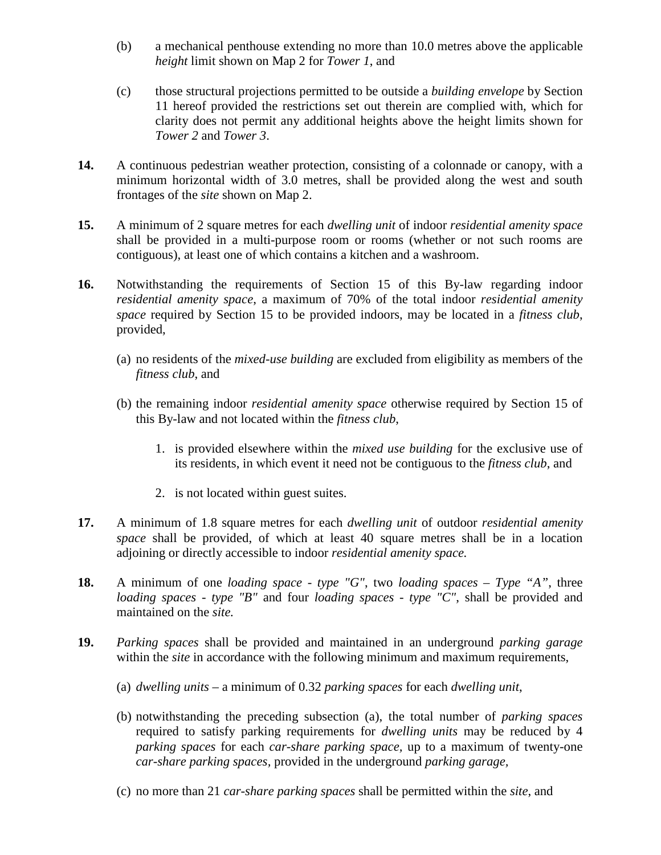- (b) a mechanical penthouse extending no more than 10.0 metres above the applicable *height* limit shown on Map 2 for *Tower 1*, and
- (c) those structural projections permitted to be outside a *building envelope* by Section 11 hereof provided the restrictions set out therein are complied with, which for clarity does not permit any additional heights above the height limits shown for *Tower 2* and *Tower 3*.
- **14.** A continuous pedestrian weather protection, consisting of a colonnade or canopy, with a minimum horizontal width of 3.0 metres, shall be provided along the west and south frontages of the *site* shown on Map 2.
- **15.** A minimum of 2 square metres for each *dwelling unit* of indoor *residential amenity space*  shall be provided in a multi-purpose room or rooms (whether or not such rooms are contiguous), at least one of which contains a kitchen and a washroom.
- **16.** Notwithstanding the requirements of Section 15 of this By-law regarding indoor *residential amenity space*, a maximum of 70% of the total indoor *residential amenity space* required by Section 15 to be provided indoors, may be located in a *fitness club*, provided,
	- (a) no residents of the *mixed-use building* are excluded from eligibility as members of the *fitness club*, and
	- (b) the remaining indoor *residential amenity space* otherwise required by Section 15 of this By-law and not located within the *fitness club*,
		- 1. is provided elsewhere within the *mixed use building* for the exclusive use of its residents, in which event it need not be contiguous to the *fitness club*, and
		- 2. is not located within guest suites.
- **17.** A minimum of 1.8 square metres for each *dwelling unit* of outdoor *residential amenity space* shall be provided, of which at least 40 square metres shall be in a location adjoining or directly accessible to indoor *residential amenity space.*
- **18.** A minimum of one *loading space - type "G"*, two *loading spaces – Type "A"*, three *loading spaces - type "B"* and four *loading spaces - type "C"*, shall be provided and maintained on the *site.*
- **19.** *Parking spaces* shall be provided and maintained in an underground *parking garage*  within the *site* in accordance with the following minimum and maximum requirements,
	- (a) *dwelling units* a minimum of 0.32 *parking spaces* for each *dwelling unit*,
	- (b) notwithstanding the preceding subsection (a), the total number of *parking spaces*  required to satisfy parking requirements for *dwelling units* may be reduced by 4 *parking spaces* for each *car-share parking space,* up to a maximum of twenty-one *car-share parking spaces,* provided in the underground *parking garage,*
	- (c) no more than 21 *car-share parking spaces* shall be permitted within the *site*, and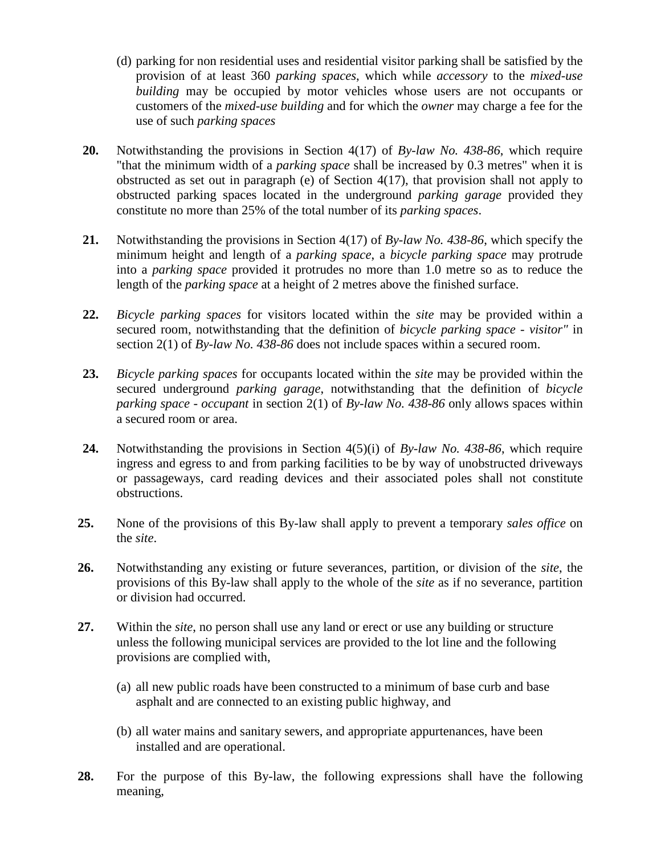- (d) parking for non residential uses and residential visitor parking shall be satisfied by the provision of at least 360 *parking spaces*, which while *accessory* to the *mixed-use building* may be occupied by motor vehicles whose users are not occupants or customers of the *mixed-use building* and for which the *owner* may charge a fee for the use of such *parking spaces*
- **20.** Notwithstanding the provisions in Section 4(17) of *By-law No. 438-86*, which require "that the minimum width of a *parking space* shall be increased by 0.3 metres" when it is obstructed as set out in paragraph (e) of Section 4(17), that provision shall not apply to obstructed parking spaces located in the underground *parking garage* provided they constitute no more than 25% of the total number of its *parking spaces*.
- **21.** Notwithstanding the provisions in Section 4(17) of *By-law No. 438-86*, which specify the minimum height and length of a *parking space*, a *bicycle parking space* may protrude into a *parking space* provided it protrudes no more than 1.0 metre so as to reduce the length of the *parking space* at a height of 2 metres above the finished surface.
- **22.** *Bicycle parking spaces* for visitors located within the *site* may be provided within a secured room, notwithstanding that the definition of *bicycle parking space - visitor"* in section 2(1) of *By-law No. 438-86* does not include spaces within a secured room.
- **23.** *Bicycle parking spaces* for occupants located within the *site* may be provided within the secured underground *parking garage*, notwithstanding that the definition of *bicycle parking space - occupant* in section 2(1) of *By-law No. 438-86* only allows spaces within a secured room or area.
- **24.** Notwithstanding the provisions in Section 4(5)(i) of *By-law No. 438-86*, which require ingress and egress to and from parking facilities to be by way of unobstructed driveways or passageways, card reading devices and their associated poles shall not constitute obstructions.
- **25.** None of the provisions of this By-law shall apply to prevent a temporary *sales office* on the *site*.
- **26.** Notwithstanding any existing or future severances, partition, or division of the *site*, the provisions of this By-law shall apply to the whole of the *site* as if no severance, partition or division had occurred.
- **27.** Within the *site*, no person shall use any land or erect or use any building or structure unless the following municipal services are provided to the lot line and the following provisions are complied with,
	- (a) all new public roads have been constructed to a minimum of base curb and base asphalt and are connected to an existing public highway, and
	- (b) all water mains and sanitary sewers, and appropriate appurtenances, have been installed and are operational.
- **28.** For the purpose of this By-law, the following expressions shall have the following meaning,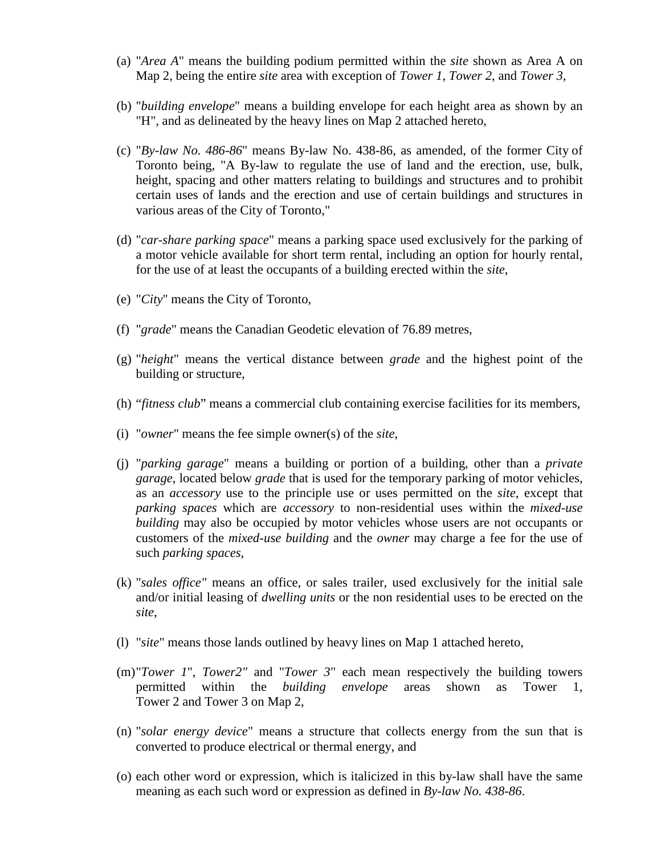- (a) "*Area A*" means the building podium permitted within the *site* shown as Area A on Map 2, being the entire *site* area with exception of *Tower 1*, *Tower 2*, and *Tower 3*,
- (b) "*building envelope*" means a building envelope for each height area as shown by an "H", and as delineated by the heavy lines on Map 2 attached hereto,
- (c) "*By-law No. 486-86*" means By-law No. 438-86, as amended, of the former City of Toronto being, "A By-law to regulate the use of land and the erection, use, bulk, height, spacing and other matters relating to buildings and structures and to prohibit certain uses of lands and the erection and use of certain buildings and structures in various areas of the City of Toronto,"
- (d) "*car-share parking space*" means a parking space used exclusively for the parking of a motor vehicle available for short term rental, including an option for hourly rental, for the use of at least the occupants of a building erected within the *site*,
- (e) "*City*" means the City of Toronto,
- (f) "*grade*" means the Canadian Geodetic elevation of 76.89 metres,
- (g) "*height*" means the vertical distance between *grade* and the highest point of the building or structure,
- (h) "*fitness club*" means a commercial club containing exercise facilities for its members,
- (i) "*owner*" means the fee simple owner(s) of the *site*,
- (j) "*parking garage*" means a building or portion of a building, other than a *private garage*, located below *grade* that is used for the temporary parking of motor vehicles, as an *accessory* use to the principle use or uses permitted on the *site*, except that *parking spaces* which are *accessory* to non-residential uses within the *mixed-use building* may also be occupied by motor vehicles whose users are not occupants or customers of the *mixed-use building* and the *owner* may charge a fee for the use of such *parking spaces*,
- (k) "*sales office"* means an office, or sales trailer, used exclusively for the initial sale and/or initial leasing of *dwelling units* or the non residential uses to be erected on the *site*,
- (l) "*site*" means those lands outlined by heavy lines on Map 1 attached hereto,
- (m)"*Tower 1*", *Tower2"* and "*Tower 3*" each mean respectively the building towers permitted within the *building envelope* areas shown as Tower 1, Tower 2 and Tower 3 on Map 2,
- (n) "*solar energy device*" means a structure that collects energy from the sun that is converted to produce electrical or thermal energy, and
- (o) each other word or expression, which is italicized in this by-law shall have the same meaning as each such word or expression as defined in *By-law No. 438-86*.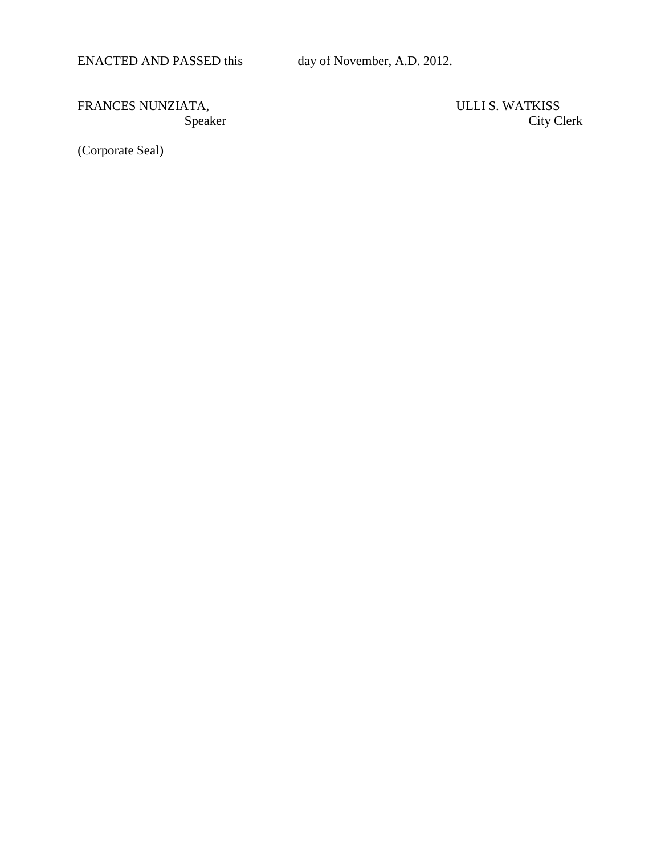ENACTED AND PASSED this day of November, A.D. 2012.

FRANCES NUNZIATA, Speaker City Club and Speaker City Club and Speaker City Club and Speaker City Club and Speaker City Club and Speaker City Club and Speaker City Club and Speaker City Club and Speaker City Club and Speake

City Clerk

(Corporate Seal)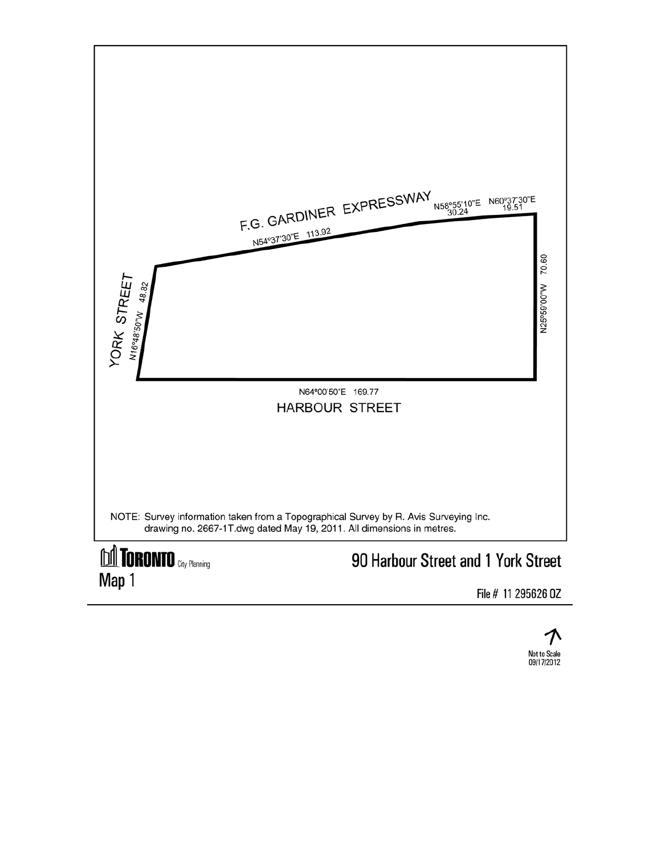

File # 11 295626 0Z

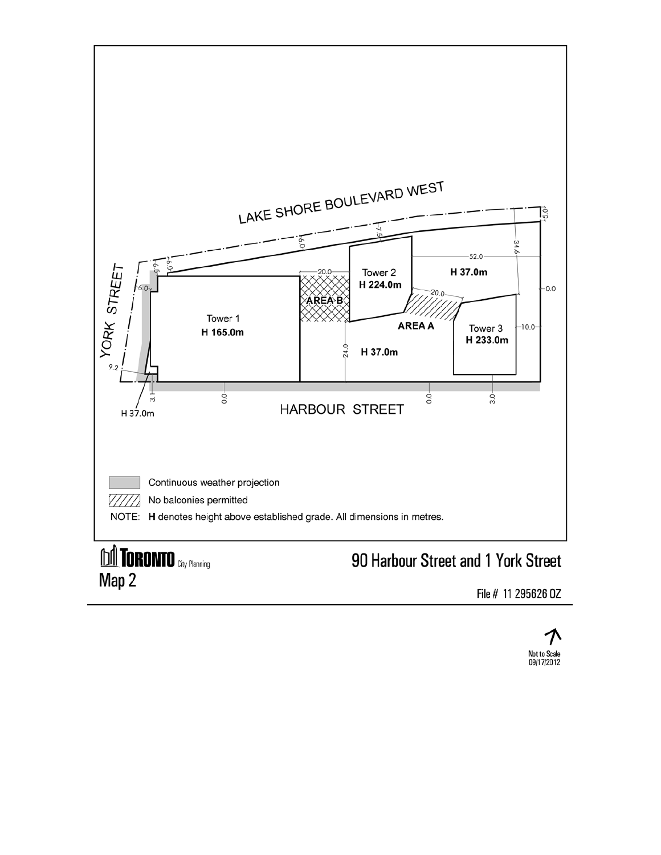

Map 2

File # 11 295626 0Z

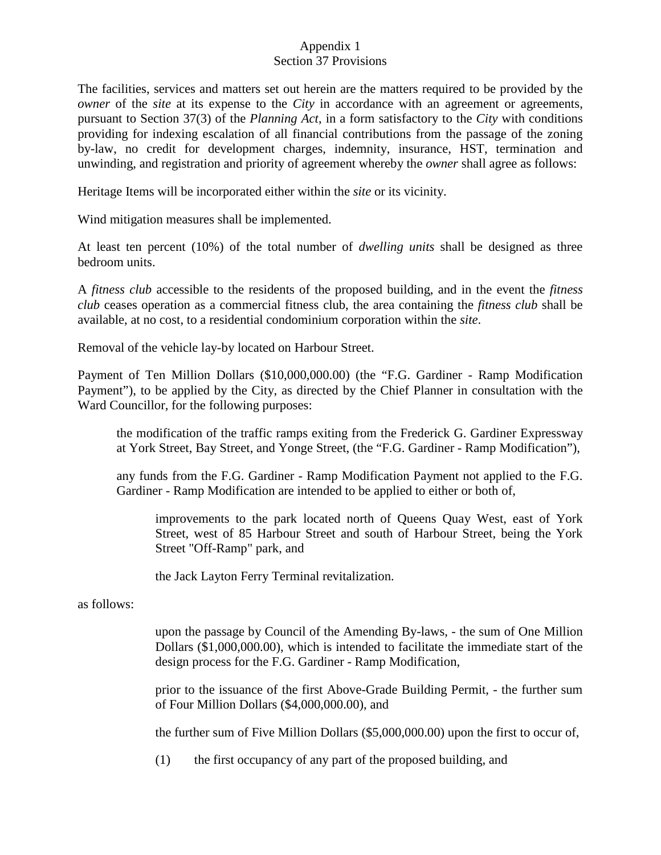## Appendix 1 Section 37 Provisions

The facilities, services and matters set out herein are the matters required to be provided by the *owner* of the *site* at its expense to the *City* in accordance with an agreement or agreements, pursuant to Section 37(3) of the *Planning Act*, in a form satisfactory to the *City* with conditions providing for indexing escalation of all financial contributions from the passage of the zoning by-law, no credit for development charges, indemnity, insurance, HST, termination and unwinding, and registration and priority of agreement whereby the *owner* shall agree as follows:

Heritage Items will be incorporated either within the *site* or its vicinity.

Wind mitigation measures shall be implemented.

At least ten percent (10%) of the total number of *dwelling units* shall be designed as three bedroom units.

A *fitness club* accessible to the residents of the proposed building, and in the event the *fitness club* ceases operation as a commercial fitness club, the area containing the *fitness club* shall be available, at no cost, to a residential condominium corporation within the *site*.

Removal of the vehicle lay-by located on Harbour Street.

Payment of Ten Million Dollars (\$10,000,000.00) (the "F.G. Gardiner - Ramp Modification Payment"), to be applied by the City, as directed by the Chief Planner in consultation with the Ward Councillor, for the following purposes:

the modification of the traffic ramps exiting from the Frederick G. Gardiner Expressway at York Street, Bay Street, and Yonge Street, (the "F.G. Gardiner - Ramp Modification"),

any funds from the F.G. Gardiner - Ramp Modification Payment not applied to the F.G. Gardiner - Ramp Modification are intended to be applied to either or both of,

improvements to the park located north of Queens Quay West, east of York Street, west of 85 Harbour Street and south of Harbour Street, being the York Street "Off-Ramp" park, and

the Jack Layton Ferry Terminal revitalization.

as follows:

upon the passage by Council of the Amending By-laws, - the sum of One Million Dollars (\$1,000,000.00), which is intended to facilitate the immediate start of the design process for the F.G. Gardiner - Ramp Modification,

prior to the issuance of the first Above-Grade Building Permit, - the further sum of Four Million Dollars (\$4,000,000.00), and

the further sum of Five Million Dollars (\$5,000,000.00) upon the first to occur of,

(1) the first occupancy of any part of the proposed building, and